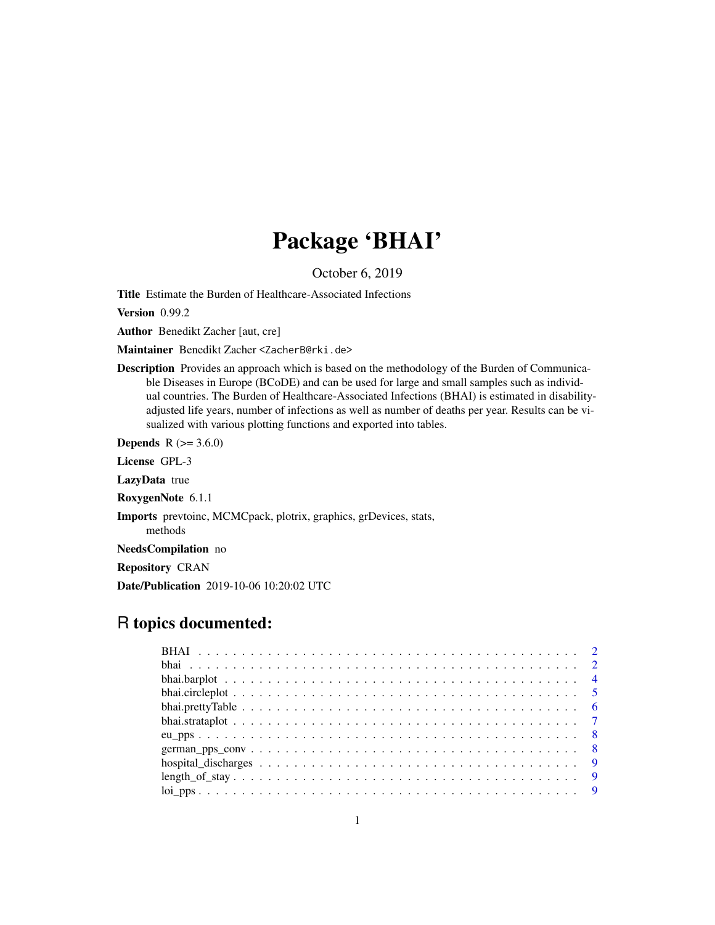## Package 'BHAI'

October 6, 2019

Title Estimate the Burden of Healthcare-Associated Infections

Version 0.99.2

Author Benedikt Zacher [aut, cre]

Maintainer Benedikt Zacher <ZacherB@rki.de>

Description Provides an approach which is based on the methodology of the Burden of Communicable Diseases in Europe (BCoDE) and can be used for large and small samples such as individual countries. The Burden of Healthcare-Associated Infections (BHAI) is estimated in disabilityadjusted life years, number of infections as well as number of deaths per year. Results can be visualized with various plotting functions and exported into tables.

**Depends**  $R$  ( $>= 3.6.0$ )

License GPL-3

LazyData true

RoxygenNote 6.1.1

Imports prevtoinc, MCMCpack, plotrix, graphics, grDevices, stats,

methods

NeedsCompilation no

Repository CRAN

Date/Publication 2019-10-06 10:20:02 UTC

## R topics documented: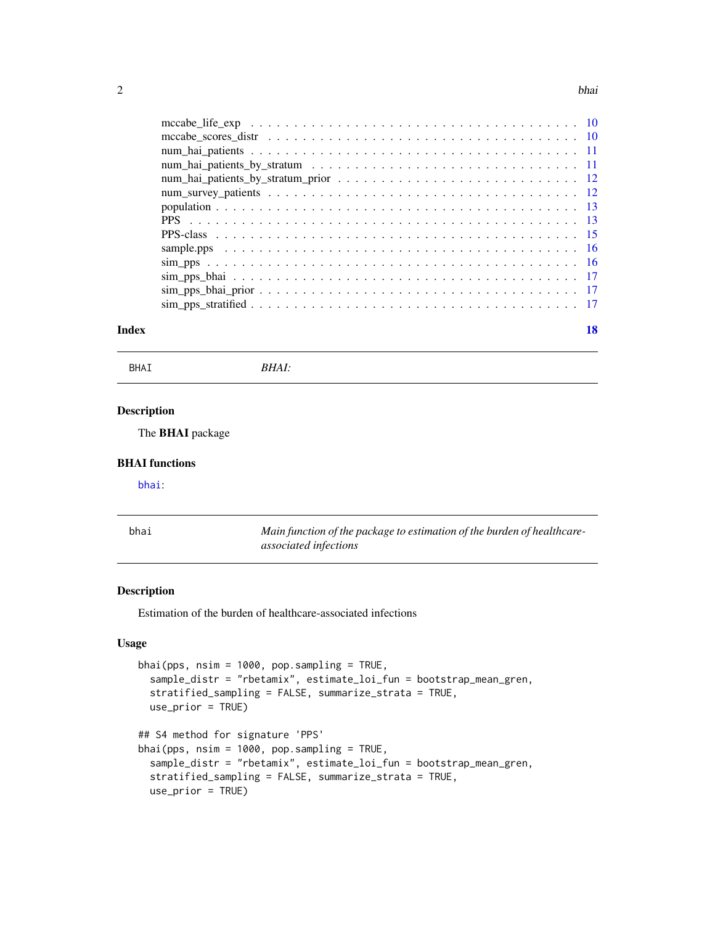#### <span id="page-1-0"></span> $2$

| Index | 18 |
|-------|----|

BHAI *BHAI:*

## Description

The BHAI package

#### BHAI functions

[bhai](#page-1-1):

<span id="page-1-1"></span>

| bhai | Main function of the package to estimation of the burden of healthcare- |
|------|-------------------------------------------------------------------------|
|      | associated infections                                                   |

## Description

Estimation of the burden of healthcare-associated infections

## Usage

```
bhai(pps, nsim = 1000, pop.sampling = TRUE,
  sample_distr = "rbetamix", estimate_loi_fun = bootstrap_mean_gren,
  stratified_sampling = FALSE, summarize_strata = TRUE,
 use_prior = TRUE)
## S4 method for signature 'PPS'
bhai(pps, nsim = 1000, pop.sampling = TRUE,
  sample_distr = "rbetamix", estimate_loi_fun = bootstrap_mean_gren,
  stratified_sampling = FALSE, summarize_strata = TRUE,
 use_prior = TRUE)
```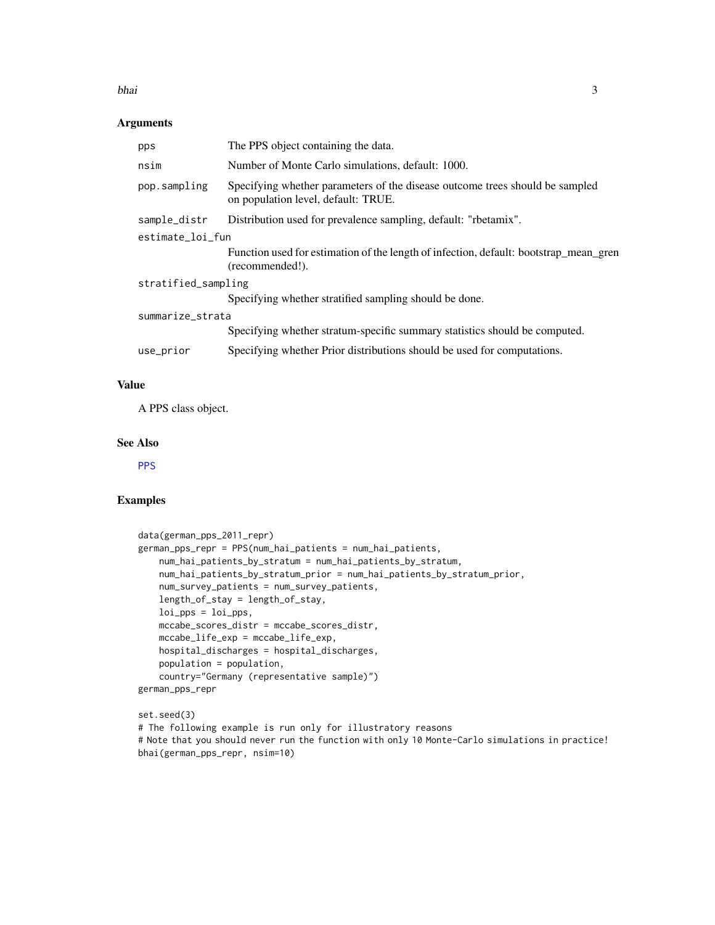#### <span id="page-2-0"></span>bhaile anns an t-Iomraid anns an t-Iomraid anns an t-Iomraid anns an t-Iomraid anns an t-Iomraid anns an t-Iomraid anns an t-Iomraid anns an t-Iomraid anns an t-Iomraid anns an t-Iomraid anns an t-Iomraid anns an t-Iomraid

## Arguments

| pps                 | The PPS object containing the data.                                                                                 |  |  |
|---------------------|---------------------------------------------------------------------------------------------------------------------|--|--|
| nsim                | Number of Monte Carlo simulations, default: 1000.                                                                   |  |  |
| pop.sampling        | Specifying whether parameters of the disease outcome trees should be sampled<br>on population level, default: TRUE. |  |  |
| sample_distr        | Distribution used for prevalence sampling, default: "rbetamix".                                                     |  |  |
| estimate_loi_fun    |                                                                                                                     |  |  |
|                     | Function used for estimation of the length of infection, default: bootstrap_mean_gren<br>(recommended!).            |  |  |
| stratified_sampling |                                                                                                                     |  |  |
|                     | Specifying whether stratified sampling should be done.                                                              |  |  |
| summarize_strata    |                                                                                                                     |  |  |
|                     | Specifying whether stratum-specific summary statistics should be computed.                                          |  |  |
| use_prior           | Specifying whether Prior distributions should be used for computations.                                             |  |  |
|                     |                                                                                                                     |  |  |

## Value

A PPS class object.

## See Also

**[PPS](#page-14-1)** 

## Examples

```
data(german_pps_2011_repr)
german_pps_repr = PPS(num_hai_patients = num_hai_patients,
   num_hai_patients_by_stratum = num_hai_patients_by_stratum,
   num_hai_patients_by_stratum_prior = num_hai_patients_by_stratum_prior,
   num_survey_patients = num_survey_patients,
   length_of_stay = length_of_stay,
   loi_pps = loi_pps,
   mccabe_scores_distr = mccabe_scores_distr,
   mccabe_life_exp = mccabe_life_exp,
   hospital_discharges = hospital_discharges,
   population = population,
   country="Germany (representative sample)")
german_pps_repr
```
#### set.seed(3) # The following example is run only for illustratory reasons # Note that you should never run the function with only 10 Monte-Carlo simulations in practice! bhai(german\_pps\_repr, nsim=10)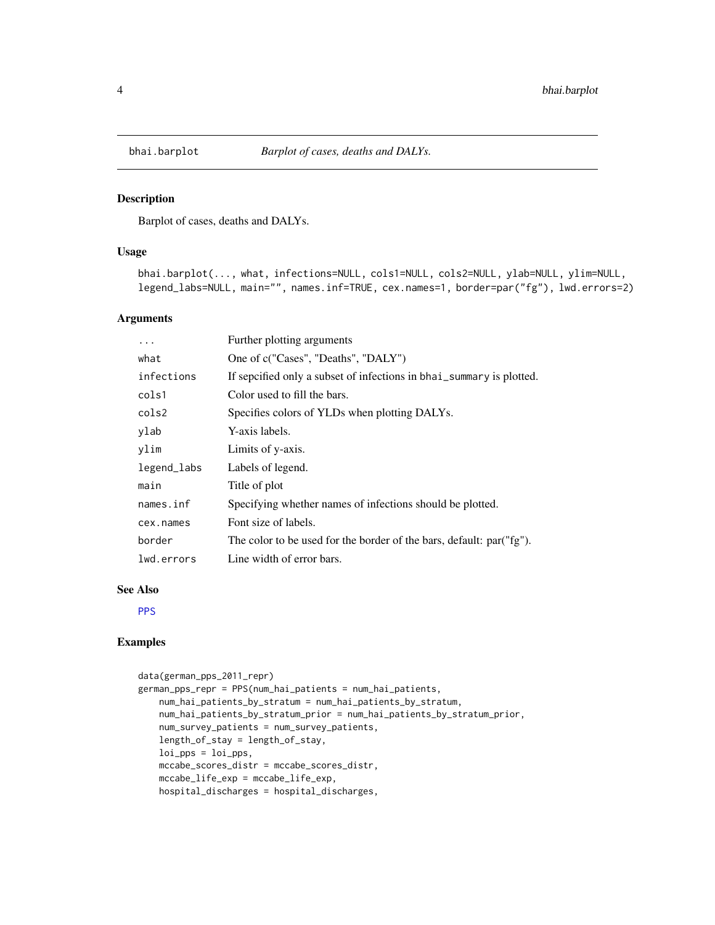<span id="page-3-0"></span>

Barplot of cases, deaths and DALYs.

#### Usage

```
bhai.barplot(..., what, infections=NULL, cols1=NULL, cols2=NULL, ylab=NULL, ylim=NULL,
legend_labs=NULL, main="", names.inf=TRUE, cex.names=1, border=par("fg"), lwd.errors=2)
```
#### Arguments

| .           | Further plotting arguments                                           |
|-------------|----------------------------------------------------------------------|
| what        | One of c("Cases", "Deaths", "DALY")                                  |
| infections  | If sepcified only a subset of infections in bhai_summary is plotted. |
| cols1       | Color used to fill the bars.                                         |
| cols2       | Specifies colors of YLDs when plotting DALYs.                        |
| ylab        | Y-axis labels.                                                       |
| ylim        | Limits of y-axis.                                                    |
| legend_labs | Labels of legend.                                                    |
| main        | Title of plot                                                        |
| names.inf   | Specifying whether names of infections should be plotted.            |
| cex.names   | Font size of labels.                                                 |
| border      | The color to be used for the border of the bars, default: par("fg"). |
| lwd.errors  | Line width of error bars.                                            |

#### See Also

**[PPS](#page-14-1)** 

```
data(german_pps_2011_repr)
german_pps_repr = PPS(num_hai_patients = num_hai_patients,
   num_hai_patients_by_stratum = num_hai_patients_by_stratum,
   num_hai_patients_by_stratum_prior = num_hai_patients_by_stratum_prior,
   num_survey_patients = num_survey_patients,
   length_of_stay = length_of_stay,
   loi_pps = loi_pps,
   mccabe_scores_distr = mccabe_scores_distr,
   mccabe_life_exp = mccabe_life_exp,
   hospital_discharges = hospital_discharges,
```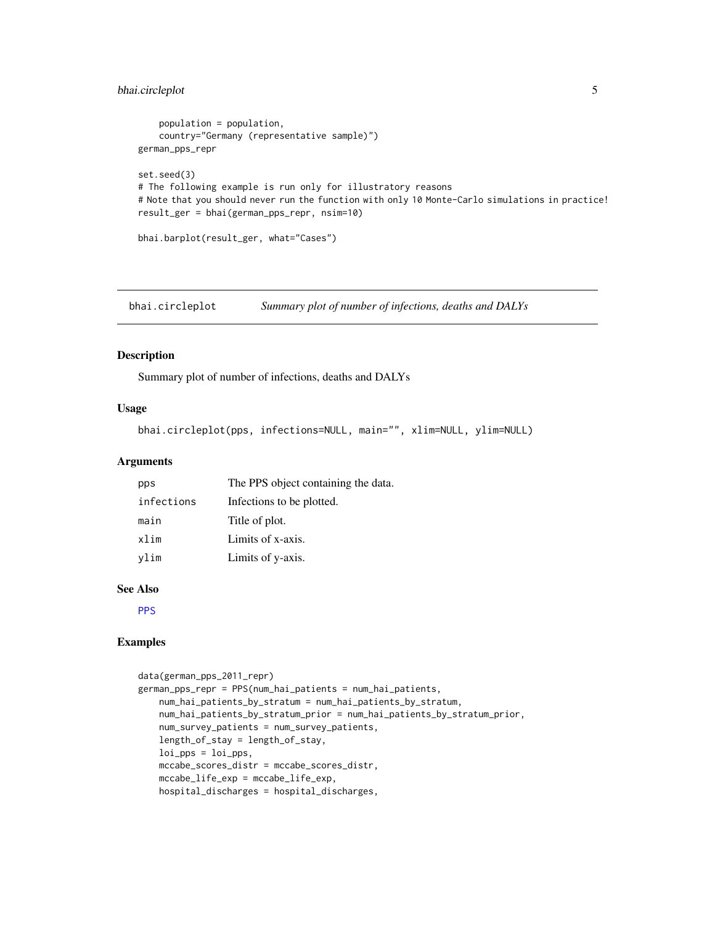## <span id="page-4-0"></span>bhai.circleplot 5

```
population = population,
    country="Germany (representative sample)")
german_pps_repr
set.seed(3)
# The following example is run only for illustratory reasons
# Note that you should never run the function with only 10 Monte-Carlo simulations in practice!
result_ger = bhai(german_pps_repr, nsim=10)
bhai.barplot(result_ger, what="Cases")
```
bhai.circleplot *Summary plot of number of infections, deaths and DALYs*

## Description

Summary plot of number of infections, deaths and DALYs

#### Usage

```
bhai.circleplot(pps, infections=NULL, main="", xlim=NULL, ylim=NULL)
```
#### Arguments

| pps        | The PPS object containing the data. |
|------------|-------------------------------------|
| infections | Infections to be plotted.           |
| main       | Title of plot.                      |
| xlim       | Limits of x-axis.                   |
| vlim       | Limits of y-axis.                   |

#### See Also

[PPS](#page-14-1)

```
data(german_pps_2011_repr)
german_pps_repr = PPS(num_hai_patients = num_hai_patients,
   num_hai_patients_by_stratum = num_hai_patients_by_stratum,
   num_hai_patients_by_stratum_prior = num_hai_patients_by_stratum_prior,
   num_survey_patients = num_survey_patients,
   length_of_stay = length_of_stay,
   loi_pps = loi_pps,
   mccabe_scores_distr = mccabe_scores_distr,
   mccabe_life_exp = mccabe_life_exp,
   hospital_discharges = hospital_discharges,
```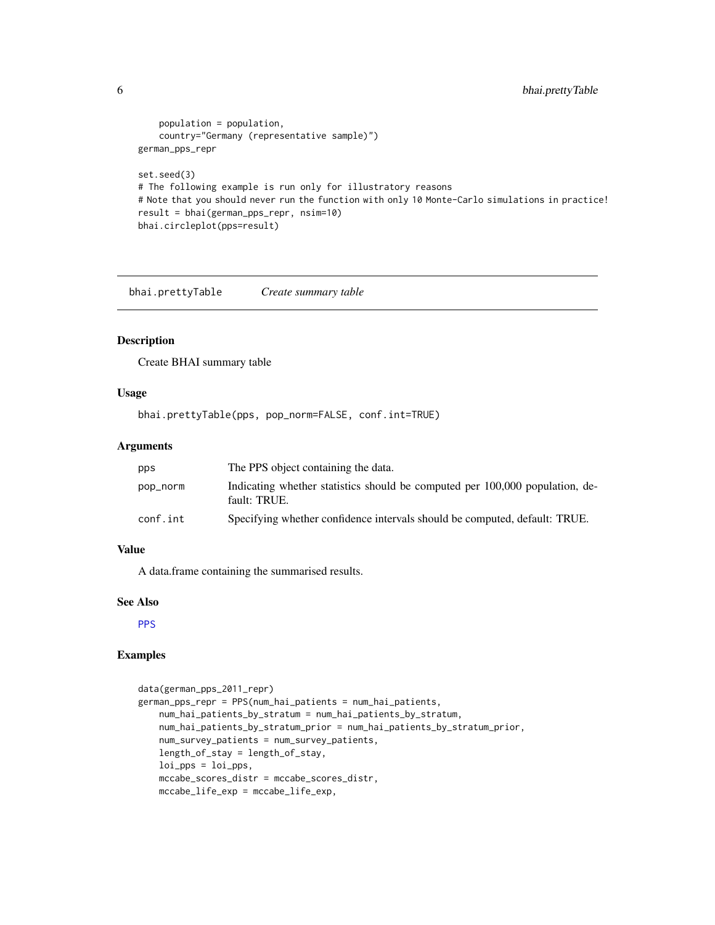```
population = population,
    country="Germany (representative sample)")
german_pps_repr
set.seed(3)
# The following example is run only for illustratory reasons
# Note that you should never run the function with only 10 Monte-Carlo simulations in practice!
result = bhai(german_pps_repr, nsim=10)
bhai.circleplot(pps=result)
```
bhai.prettyTable *Create summary table*

## Description

Create BHAI summary table

#### Usage

```
bhai.prettyTable(pps, pop_norm=FALSE, conf.int=TRUE)
```
#### Arguments

| pps      | The PPS object containing the data.                                                          |
|----------|----------------------------------------------------------------------------------------------|
| pop_norm | Indicating whether statistics should be computed per 100,000 population, de-<br>fault: TRUE. |
| conf.int | Specifying whether confidence intervals should be computed, default: TRUE.                   |

## Value

A data.frame containing the summarised results.

#### See Also

[PPS](#page-14-1)

```
data(german_pps_2011_repr)
german_pps_repr = PPS(num_hai_patients = num_hai_patients,
   num_hai_patients_by_stratum = num_hai_patients_by_stratum,
   num_hai_patients_by_stratum_prior = num_hai_patients_by_stratum_prior,
   num_survey_patients = num_survey_patients,
   length_of_stay = length_of_stay,
   loi_pps = loi_pps,
   mccabe_scores_distr = mccabe_scores_distr,
   mccabe_life_exp = mccabe_life_exp,
```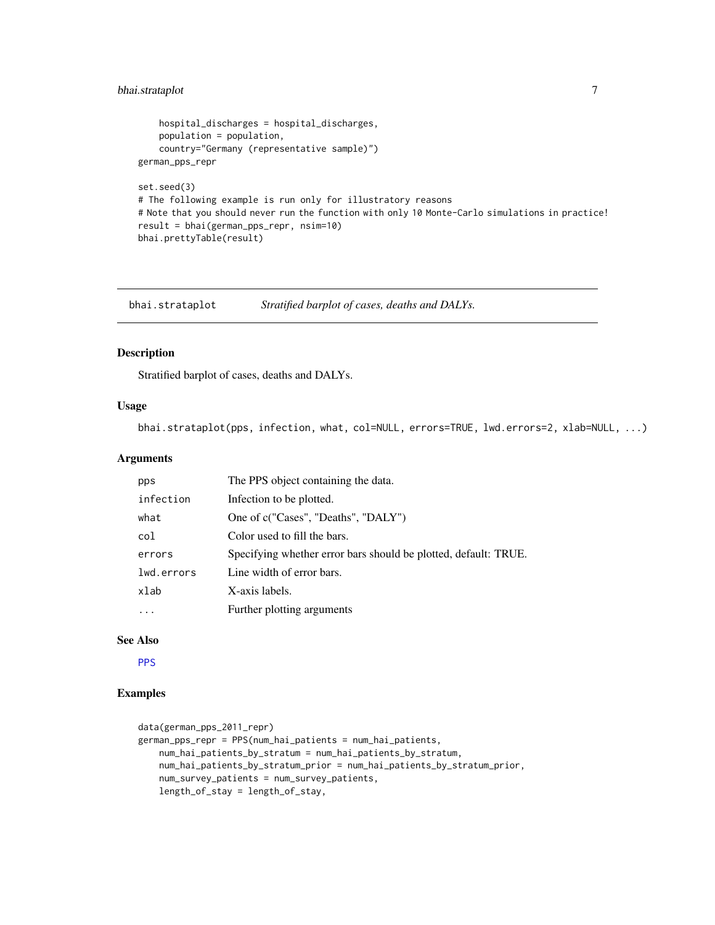## <span id="page-6-0"></span>bhai.strataplot 7

```
hospital_discharges = hospital_discharges,
   population = population,
    country="Germany (representative sample)")
german_pps_repr
set.seed(3)
# The following example is run only for illustratory reasons
# Note that you should never run the function with only 10 Monte-Carlo simulations in practice!
result = bhai(german_pps_repr, nsim=10)
bhai.prettyTable(result)
```
bhai.strataplot *Stratified barplot of cases, deaths and DALYs.*

## Description

Stratified barplot of cases, deaths and DALYs.

## Usage

bhai.strataplot(pps, infection, what, col=NULL, errors=TRUE, lwd.errors=2, xlab=NULL, ...)

#### Arguments

| pps        | The PPS object containing the data.                             |
|------------|-----------------------------------------------------------------|
| infection  | Infection to be plotted.                                        |
| what       | One of c("Cases", "Deaths", "DALY")                             |
| col        | Color used to fill the bars.                                    |
| errors     | Specifying whether error bars should be plotted, default: TRUE. |
| lwd.errors | Line width of error bars.                                       |
| xlab       | X-axis labels.                                                  |
| $\cdots$   | Further plotting arguments                                      |

#### See Also

[PPS](#page-14-1)

```
data(german_pps_2011_repr)
german_pps_repr = PPS(num_hai_patients = num_hai_patients,
   num_hai_patients_by_stratum = num_hai_patients_by_stratum,
   num_hai_patients_by_stratum_prior = num_hai_patients_by_stratum_prior,
   num_survey_patients = num_survey_patients,
   length_of_stay = length_of_stay,
```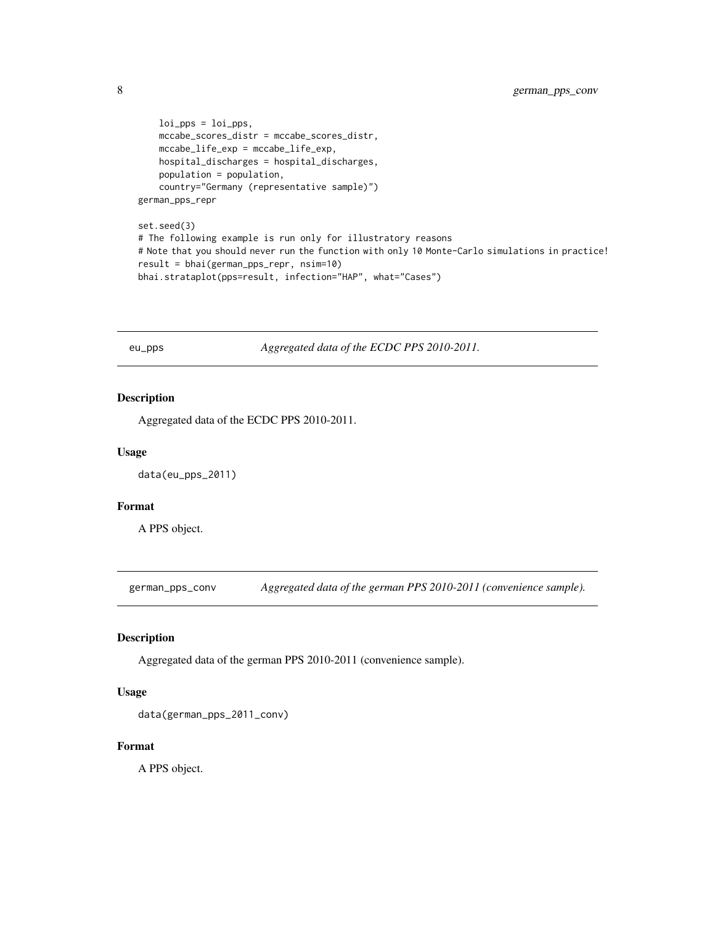```
loi_pps = loi_pps,
   mccabe_scores_distr = mccabe_scores_distr,
   mccabe_life_exp = mccabe_life_exp,
   hospital_discharges = hospital_discharges,
   population = population,
    country="Germany (representative sample)")
german_pps_repr
```

```
set.seed(3)
# The following example is run only for illustratory reasons
# Note that you should never run the function with only 10 Monte-Carlo simulations in practice!
result = bhai(german_pps_repr, nsim=10)
bhai.strataplot(pps=result, infection="HAP", what="Cases")
```
eu\_pps *Aggregated data of the ECDC PPS 2010-2011.*

## Description

Aggregated data of the ECDC PPS 2010-2011.

#### Usage

data(eu\_pps\_2011)

#### Format

A PPS object.

german\_pps\_conv *Aggregated data of the german PPS 2010-2011 (convenience sample).*

#### Description

Aggregated data of the german PPS 2010-2011 (convenience sample).

#### Usage

```
data(german_pps_2011_conv)
```
#### Format

<span id="page-7-0"></span>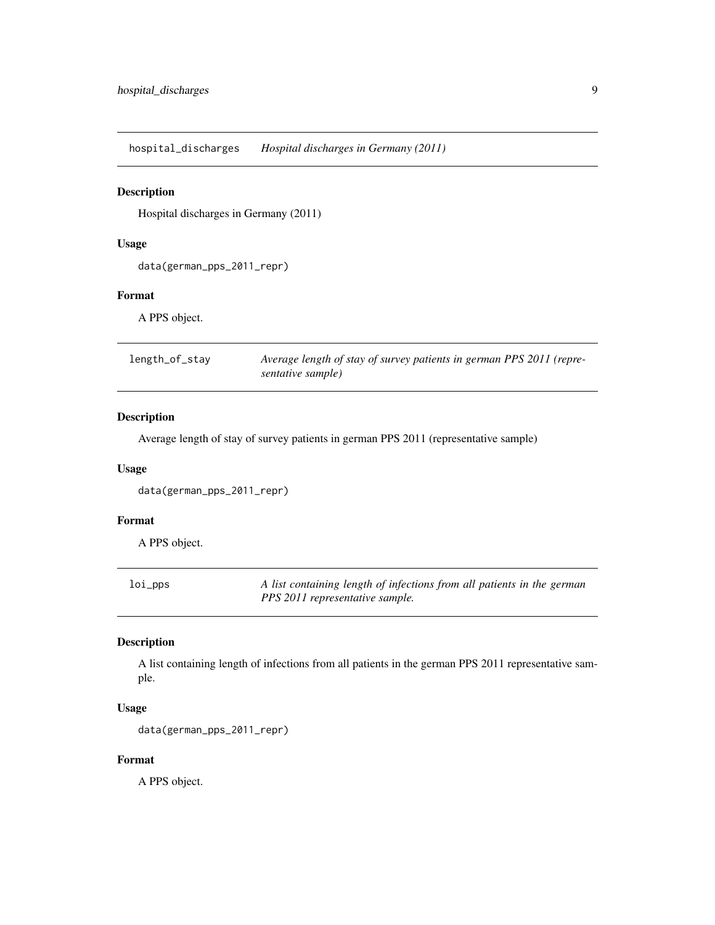<span id="page-8-0"></span>hospital\_discharges *Hospital discharges in Germany (2011)*

## Description

Hospital discharges in Germany (2011)

## Usage

```
data(german_pps_2011_repr)
```
## Format

A PPS object.

| length_of_stay | Average length of stay of survey patients in german PPS 2011 (repre- |  |
|----------------|----------------------------------------------------------------------|--|
|                | sentative sample)                                                    |  |

## Description

Average length of stay of survey patients in german PPS 2011 (representative sample)

#### Usage

```
data(german_pps_2011_repr)
```
## Format

A PPS object.

| loi_pps | A list containing length of infections from all patients in the german |
|---------|------------------------------------------------------------------------|
|         | PPS 2011 representative sample.                                        |

## Description

A list containing length of infections from all patients in the german PPS 2011 representative sample.

## Usage

```
data(german_pps_2011_repr)
```
#### Format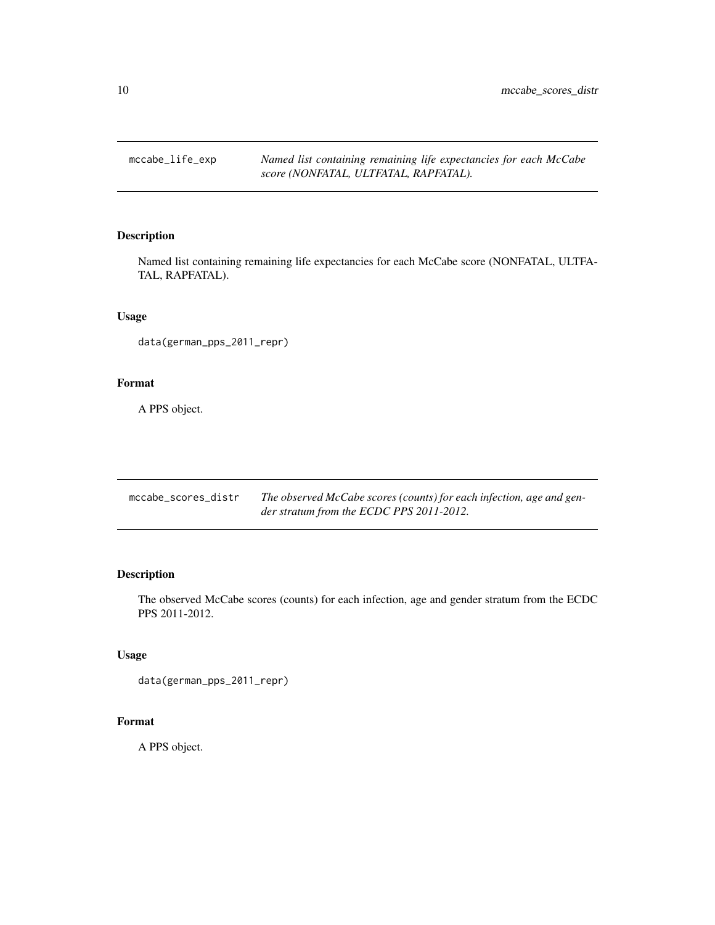<span id="page-9-0"></span>mccabe\_life\_exp *Named list containing remaining life expectancies for each McCabe score (NONFATAL, ULTFATAL, RAPFATAL).*

## Description

Named list containing remaining life expectancies for each McCabe score (NONFATAL, ULTFA-TAL, RAPFATAL).

## Usage

```
data(german_pps_2011_repr)
```
#### Format

A PPS object.

| mccabe scores distr | The observed McCabe scores (counts) for each infection, age and gen- |
|---------------------|----------------------------------------------------------------------|
|                     | der stratum from the ECDC PPS 2011-2012.                             |

## Description

The observed McCabe scores (counts) for each infection, age and gender stratum from the ECDC PPS 2011-2012.

## Usage

```
data(german_pps_2011_repr)
```
## Format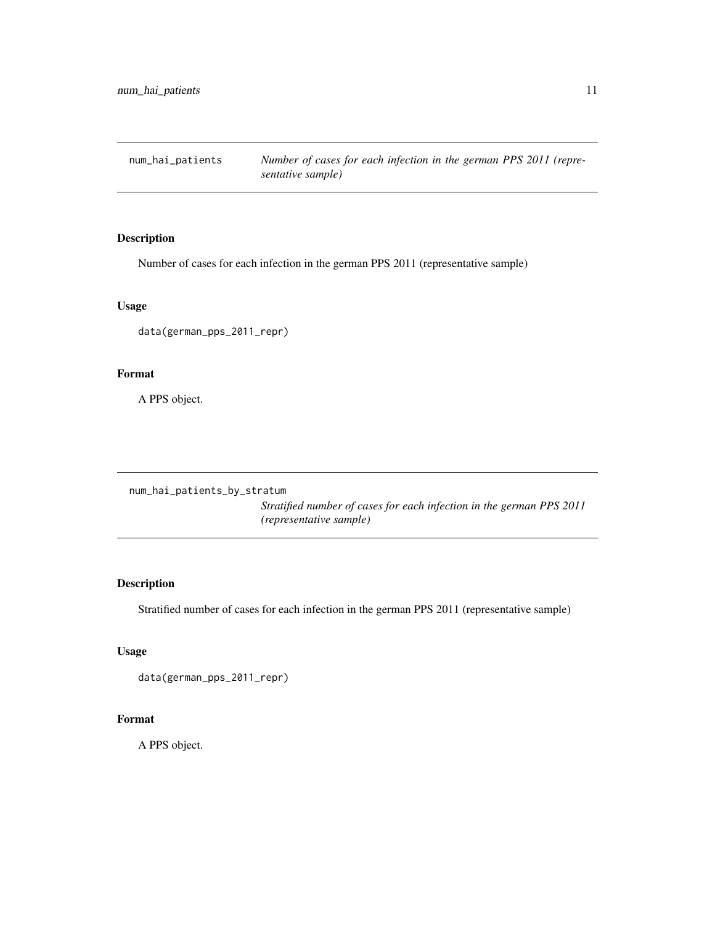<span id="page-10-0"></span>num\_hai\_patients *Number of cases for each infection in the german PPS 2011 (representative sample)*

## Description

Number of cases for each infection in the german PPS 2011 (representative sample)

## Usage

data(german\_pps\_2011\_repr)

## Format

A PPS object.

num\_hai\_patients\_by\_stratum

*Stratified number of cases for each infection in the german PPS 2011 (representative sample)*

## Description

Stratified number of cases for each infection in the german PPS 2011 (representative sample)

## Usage

```
data(german_pps_2011_repr)
```
## Format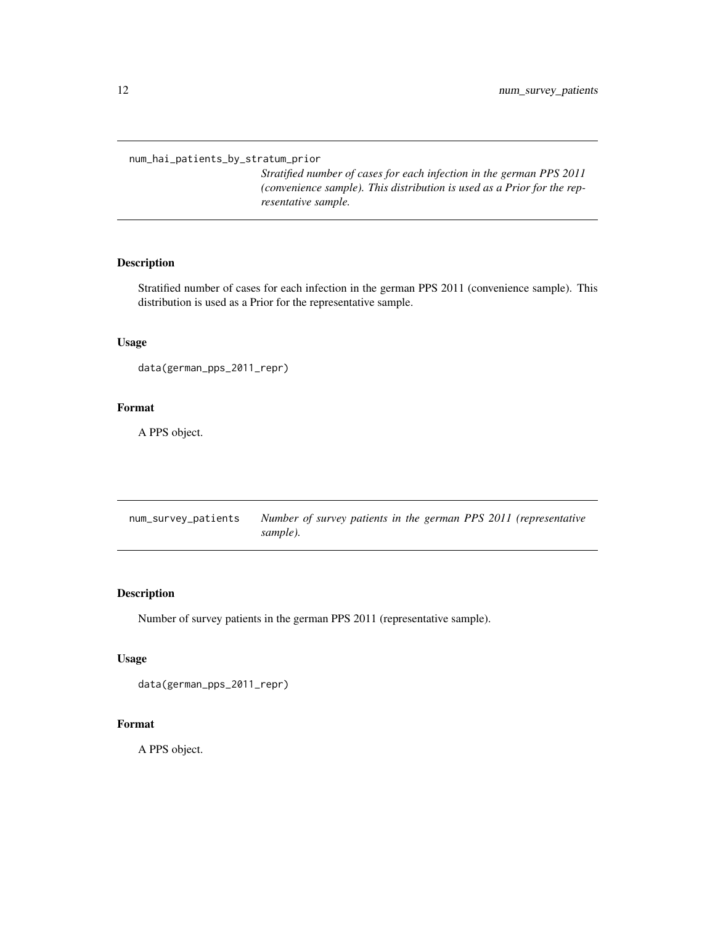<span id="page-11-0"></span>num\_hai\_patients\_by\_stratum\_prior

*Stratified number of cases for each infection in the german PPS 2011 (convenience sample). This distribution is used as a Prior for the representative sample.*

## Description

Stratified number of cases for each infection in the german PPS 2011 (convenience sample). This distribution is used as a Prior for the representative sample.

## Usage

```
data(german_pps_2011_repr)
```
#### Format

A PPS object.

| num_survey_patients |          |  | Number of survey patients in the german PPS 2011 (representative |
|---------------------|----------|--|------------------------------------------------------------------|
|                     | sample). |  |                                                                  |

## Description

Number of survey patients in the german PPS 2011 (representative sample).

#### Usage

```
data(german_pps_2011_repr)
```
#### Format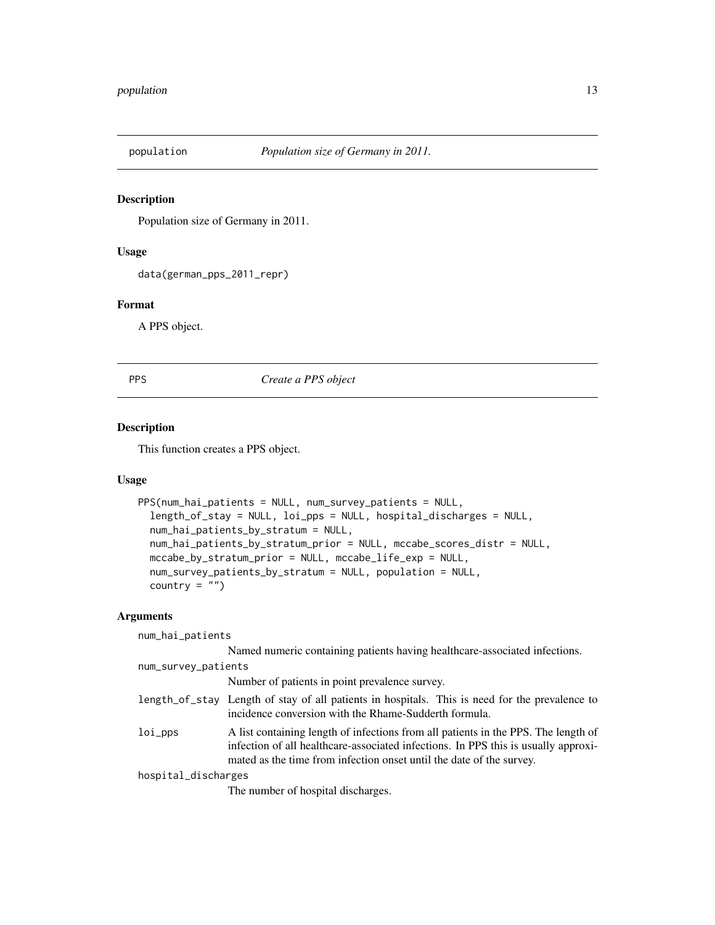<span id="page-12-0"></span>

Population size of Germany in 2011.

#### Usage

data(german\_pps\_2011\_repr)

## Format

A PPS object.

PPS *Create a PPS object*

#### Description

This function creates a PPS object.

## Usage

```
PPS(num_hai_patients = NULL, num_survey_patients = NULL,
  length_of_stay = NULL, loi_pps = NULL, hospital_discharges = NULL,
  num_hai_patients_by_stratum = NULL,
 num_hai_patients_by_stratum_prior = NULL, mccabe_scores_distr = NULL,
 mccabe_by_stratum_prior = NULL, mccabe_life_exp = NULL,
 num_survey_patients_by_stratum = NULL, population = NULL,
  country = "")
```
## Arguments

| num_hai_patients    |                                                                                                                                                                                                                                                  |
|---------------------|--------------------------------------------------------------------------------------------------------------------------------------------------------------------------------------------------------------------------------------------------|
|                     | Named numeric containing patients having healthcare-associated infections.                                                                                                                                                                       |
| num_survey_patients |                                                                                                                                                                                                                                                  |
|                     | Number of patients in point prevalence survey.                                                                                                                                                                                                   |
|                     | length_of_stay Length of stay of all patients in hospitals. This is need for the prevalence to<br>incidence conversion with the Rhame-Sudderth formula.                                                                                          |
| $loi$ pps           | A list containing length of infections from all patients in the PPS. The length of<br>infection of all healthcare-associated infections. In PPS this is usually approxi-<br>mated as the time from infection onset until the date of the survey. |
| hospital_discharges |                                                                                                                                                                                                                                                  |
|                     | The number of hospital discharges.                                                                                                                                                                                                               |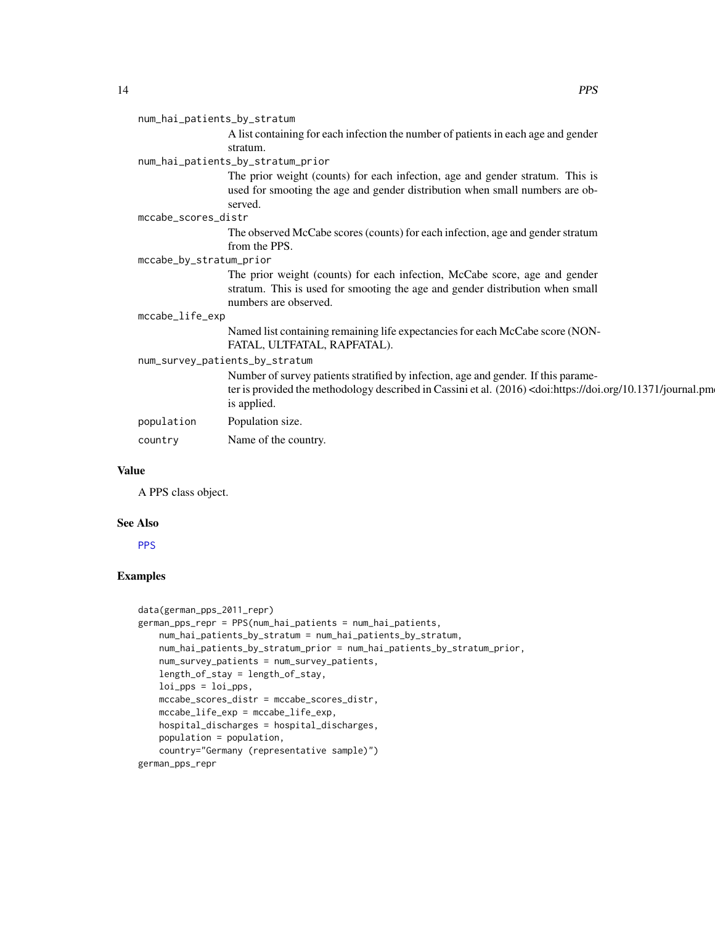#### <span id="page-13-0"></span>num\_hai\_patients\_by\_stratum

A list containing for each infection the number of patients in each age and gender stratum.

## num\_hai\_patients\_by\_stratum\_prior

The prior weight (counts) for each infection, age and gender stratum. This is used for smooting the age and gender distribution when small numbers are observed.

#### mccabe\_scores\_distr

The observed McCabe scores (counts) for each infection, age and gender stratum from the PPS.

## mccabe\_by\_stratum\_prior

The prior weight (counts) for each infection, McCabe score, age and gender stratum. This is used for smooting the age and gender distribution when small numbers are observed.

#### mccabe\_life\_exp

Named list containing remaining life expectancies for each McCabe score (NON-FATAL, ULTFATAL, RAPFATAL).

#### num\_survey\_patients\_by\_stratum

Number of survey patients stratified by infection, age and gender. If this parameter is provided the methodology described in Cassini et al. (2016) <doi:https://doi.org/10.1371/journal.pm is applied. population Population size.

country Name of the country.

#### Value

A PPS class object.

#### See Also

#### **[PPS](#page-14-1)**

```
data(german_pps_2011_repr)
german_pps_repr = PPS(num_hai_patients = num_hai_patients,
   num_hai_patients_by_stratum = num_hai_patients_by_stratum,
   num_hai_patients_by_stratum_prior = num_hai_patients_by_stratum_prior,
   num_survey_patients = num_survey_patients,
   length_of_stay = length_of_stay,
   loi_pps = loi_pps,
   mccabe_scores_distr = mccabe_scores_distr,
   mccabe_life_exp = mccabe_life_exp,
   hospital_discharges = hospital_discharges,
   population = population,
   country="Germany (representative sample)")
german_pps_repr
```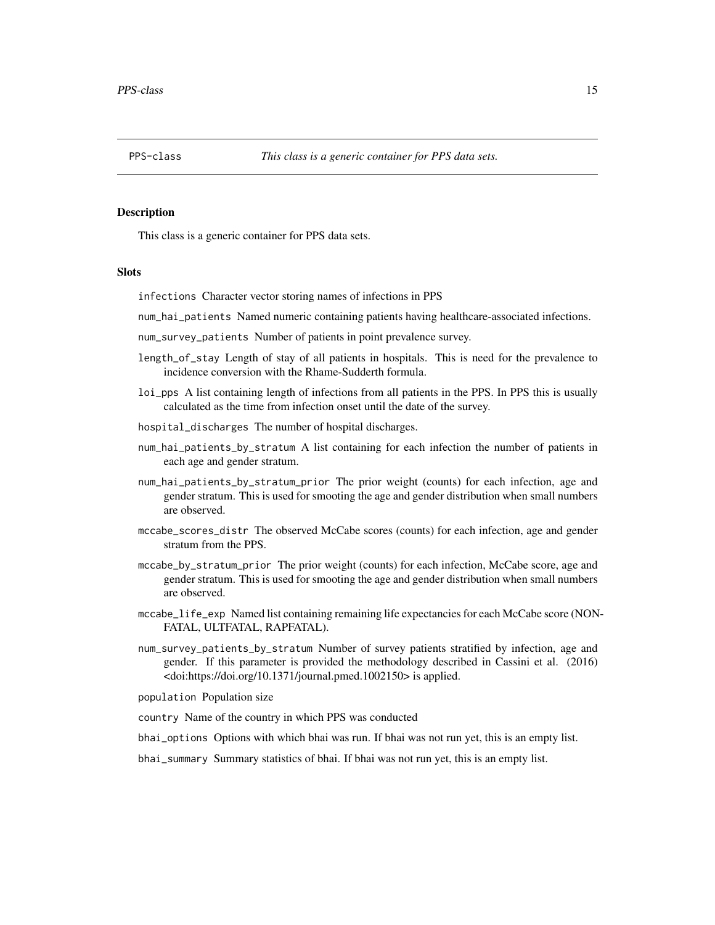<span id="page-14-1"></span><span id="page-14-0"></span>

This class is a generic container for PPS data sets.

#### **Slots**

infections Character vector storing names of infections in PPS

num\_hai\_patients Named numeric containing patients having healthcare-associated infections.

num\_survey\_patients Number of patients in point prevalence survey.

- length\_of\_stay Length of stay of all patients in hospitals. This is need for the prevalence to incidence conversion with the Rhame-Sudderth formula.
- loi\_pps A list containing length of infections from all patients in the PPS. In PPS this is usually calculated as the time from infection onset until the date of the survey.
- hospital\_discharges The number of hospital discharges.
- num\_hai\_patients\_by\_stratum A list containing for each infection the number of patients in each age and gender stratum.
- num\_hai\_patients\_by\_stratum\_prior The prior weight (counts) for each infection, age and gender stratum. This is used for smooting the age and gender distribution when small numbers are observed.
- mccabe\_scores\_distr The observed McCabe scores (counts) for each infection, age and gender stratum from the PPS.
- mccabe\_by\_stratum\_prior The prior weight (counts) for each infection, McCabe score, age and gender stratum. This is used for smooting the age and gender distribution when small numbers are observed.
- mccabe\_life\_exp Named list containing remaining life expectancies for each McCabe score (NON-FATAL, ULTFATAL, RAPFATAL).
- num\_survey\_patients\_by\_stratum Number of survey patients stratified by infection, age and gender. If this parameter is provided the methodology described in Cassini et al. (2016) <doi:https://doi.org/10.1371/journal.pmed.1002150> is applied.
- population Population size
- country Name of the country in which PPS was conducted
- bhai\_options Options with which bhai was run. If bhai was not run yet, this is an empty list.
- bhai\_summary Summary statistics of bhai. If bhai was not run yet, this is an empty list.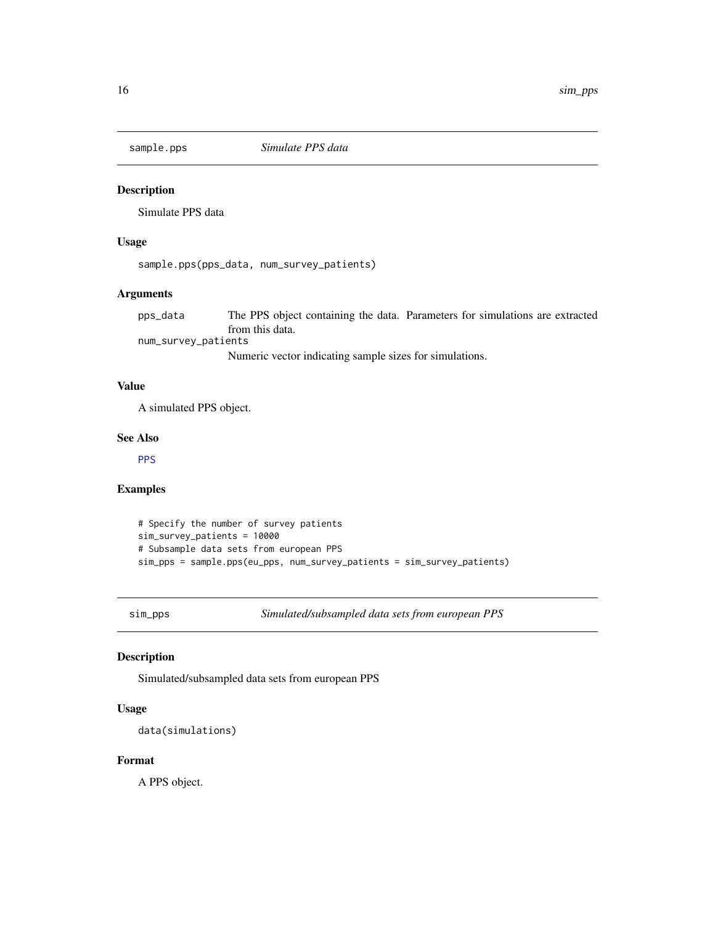<span id="page-15-0"></span>

Simulate PPS data

#### Usage

sample.pps(pps\_data, num\_survey\_patients)

## Arguments

pps\_data The PPS object containing the data. Parameters for simulations are extracted from this data.

num\_survey\_patients

Numeric vector indicating sample sizes for simulations.

#### Value

A simulated PPS object.

#### See Also

**[PPS](#page-14-1)** 

#### Examples

```
# Specify the number of survey patients
sim_survey_patients = 10000
# Subsample data sets from european PPS
sim_pps = sample.pps(eu_pps, num_survey_patients = sim_survey_patients)
```
sim\_pps *Simulated/subsampled data sets from european PPS*

#### Description

Simulated/subsampled data sets from european PPS

#### Usage

data(simulations)

#### Format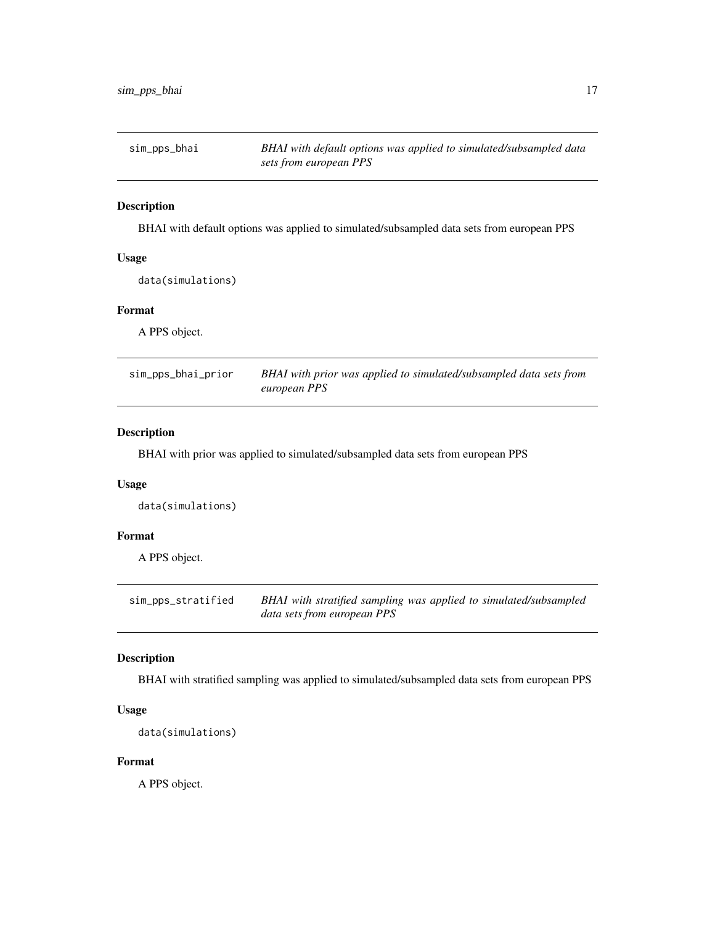<span id="page-16-0"></span>

BHAI with default options was applied to simulated/subsampled data sets from european PPS

### Usage

data(simulations)

## Format

A PPS object.

sim\_pps\_bhai\_prior *BHAI with prior was applied to simulated/subsampled data sets from european PPS*

## Description

BHAI with prior was applied to simulated/subsampled data sets from european PPS

#### Usage

data(simulations)

#### Format

A PPS object.

sim\_pps\_stratified *BHAI with stratified sampling was applied to simulated/subsampled data sets from european PPS*

#### Description

BHAI with stratified sampling was applied to simulated/subsampled data sets from european PPS

#### Usage

```
data(simulations)
```
#### Format